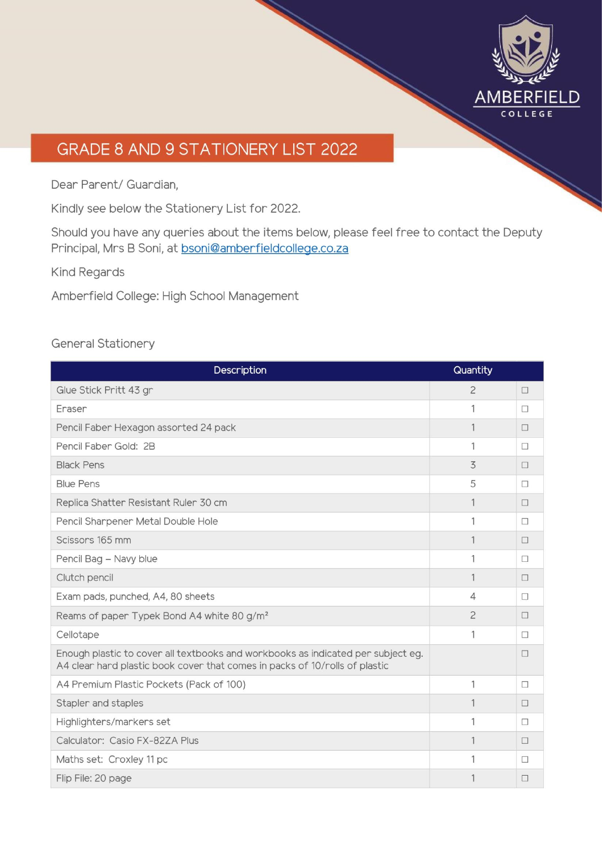

# GRADE 8 AND 9 STATIONERY LIST 2022

Dear Parent/ Guardian,

Kindly see below the Stationery List for 2022.

Should you have any queries about the items below, please feel free to contact the Deputy Principal, Mrs B Soni, at bsoni@amberfieldcollege.co.za

**Kind Regards** 

Amberfield College: High School Management

## **General Stationery**

| Description                                                                                                                                                     | Quantity       |        |
|-----------------------------------------------------------------------------------------------------------------------------------------------------------------|----------------|--------|
| Glue Stick Pritt 43 gr                                                                                                                                          | $\overline{c}$ | □      |
| Eraser                                                                                                                                                          | 1              | П      |
| Pencil Faber Hexagon assorted 24 pack                                                                                                                           | 1              | П      |
| Pencil Faber Gold: 2B                                                                                                                                           | 1              | П      |
| <b>Black Pens</b>                                                                                                                                               | 3              | П      |
| <b>Blue Pens</b>                                                                                                                                                | 5              | П      |
| Replica Shatter Resistant Ruler 30 cm                                                                                                                           | 1              | $\Box$ |
| Pencil Sharpener Metal Double Hole                                                                                                                              | 1              | П      |
| Scissors 165 mm                                                                                                                                                 |                | П      |
| Pencil Bag - Navy blue                                                                                                                                          | 1              | П      |
| Clutch pencil                                                                                                                                                   | 1              | П      |
| Exam pads, punched, A4, 80 sheets                                                                                                                               | 4              | п      |
| Reams of paper Typek Bond A4 white 80 g/m <sup>2</sup>                                                                                                          | $\overline{c}$ | П      |
| Cellotape                                                                                                                                                       | 1              | П      |
| Enough plastic to cover all textbooks and workbooks as indicated per subject eg.<br>A4 clear hard plastic book cover that comes in packs of 10/rolls of plastic |                | П      |
| A4 Premium Plastic Pockets (Pack of 100)                                                                                                                        | 1              | П      |
| Stapler and staples                                                                                                                                             | 1              | Π      |
| Highlighters/markers set                                                                                                                                        | 1              | П      |
| Calculator: Casio FX-82ZA Plus                                                                                                                                  |                | П      |
| Maths set: Croxley 11 pc                                                                                                                                        | 1              | П      |
| Flip File: 20 page                                                                                                                                              |                | □      |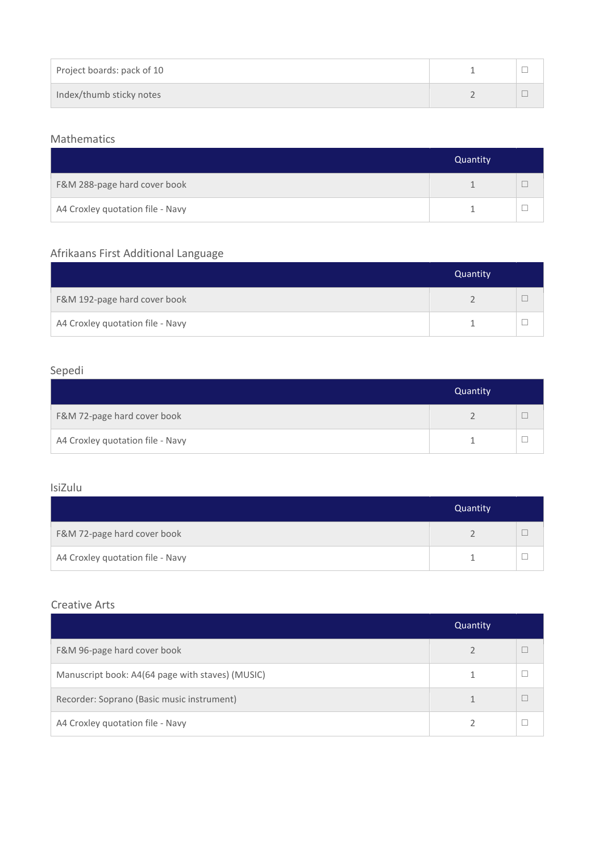| Project boards: pack of 10 |  |
|----------------------------|--|
| Index/thumb sticky notes   |  |

#### Mathematics

|                                  | Quantity |  |
|----------------------------------|----------|--|
| F&M 288-page hard cover book     |          |  |
| A4 Croxley quotation file - Navy |          |  |

## Afrikaans First Additional Language

|                                  | Quantity |  |
|----------------------------------|----------|--|
| F&M 192-page hard cover book     |          |  |
| A4 Croxley quotation file - Navy |          |  |

#### Sepedi

|                                  | Quantity |  |
|----------------------------------|----------|--|
| F&M 72-page hard cover book      |          |  |
| A4 Croxley quotation file - Navy |          |  |

### IsiZulu

|                                  | Quantity |  |
|----------------------------------|----------|--|
| F&M 72-page hard cover book      |          |  |
| A4 Croxley quotation file - Navy |          |  |

#### Creative Arts

|                                                  | Quantity |  |
|--------------------------------------------------|----------|--|
| F&M 96-page hard cover book                      |          |  |
| Manuscript book: A4(64 page with staves) (MUSIC) |          |  |
| Recorder: Soprano (Basic music instrument)       |          |  |
| A4 Croxley quotation file - Navy                 |          |  |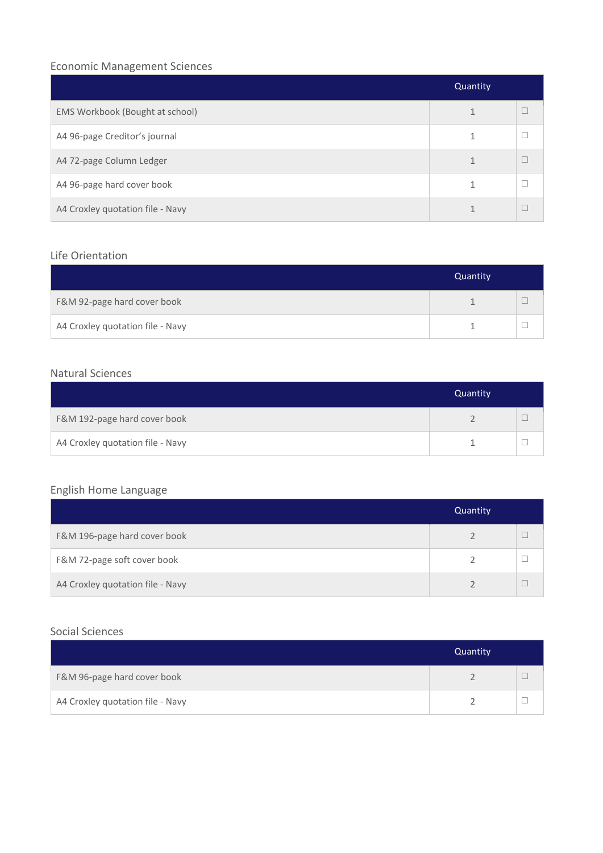## Economic Management Sciences

|                                  | Quantity |   |
|----------------------------------|----------|---|
| EMS Workbook (Bought at school)  |          |   |
| A4 96-page Creditor's journal    |          |   |
| A4 72-page Column Ledger         |          | Г |
| A4 96-page hard cover book       |          |   |
| A4 Croxley quotation file - Navy |          | Г |

## Life Orientation

|                                  | Quantity |  |
|----------------------------------|----------|--|
| F&M 92-page hard cover book      |          |  |
| A4 Croxley quotation file - Navy |          |  |

### Natural Sciences

|                                  | Quantity |  |
|----------------------------------|----------|--|
| F&M 192-page hard cover book     |          |  |
| A4 Croxley quotation file - Navy |          |  |

## English Home Language

|                                  | Quantity |  |
|----------------------------------|----------|--|
| F&M 196-page hard cover book     |          |  |
| F&M 72-page soft cover book      |          |  |
| A4 Croxley quotation file - Navy |          |  |

#### Social Sciences

|                                  | Quantity |  |
|----------------------------------|----------|--|
| F&M 96-page hard cover book      |          |  |
| A4 Croxley quotation file - Navy |          |  |